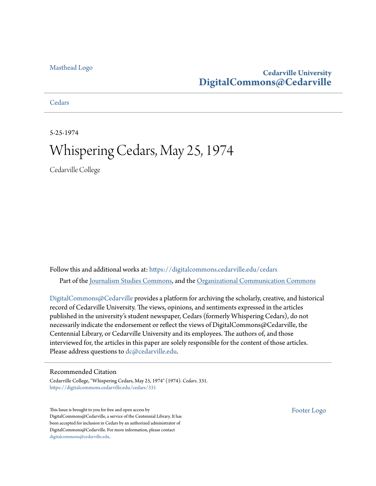### **Cedarville University [DigitalCommons@Cedarville](https://digitalcommons.cedarville.edu?utm_source=digitalcommons.cedarville.edu%2Fcedars%2F331&utm_medium=PDF&utm_campaign=PDFCoverPages)**

**[Cedars](https://digitalcommons.cedarville.edu/cedars?utm_source=digitalcommons.cedarville.edu%2Fcedars%2F331&utm_medium=PDF&utm_campaign=PDFCoverPages)** 

5-25-1974

## Whispering Cedars, May 25, 1974

Cedarville College

Follow this and additional works at: [https://digitalcommons.cedarville.edu/cedars](https://digitalcommons.cedarville.edu/cedars?utm_source=digitalcommons.cedarville.edu%2Fcedars%2F331&utm_medium=PDF&utm_campaign=PDFCoverPages) Part of the [Journalism Studies Commons](http://network.bepress.com/hgg/discipline/333?utm_source=digitalcommons.cedarville.edu%2Fcedars%2F331&utm_medium=PDF&utm_campaign=PDFCoverPages), and the [Organizational Communication Commons](http://network.bepress.com/hgg/discipline/335?utm_source=digitalcommons.cedarville.edu%2Fcedars%2F331&utm_medium=PDF&utm_campaign=PDFCoverPages)

[DigitalCommons@Cedarville](http://digitalcommons.cedarville.edu/) provides a platform for archiving the scholarly, creative, and historical record of Cedarville University. The views, opinions, and sentiments expressed in the articles published in the university's student newspaper, Cedars (formerly Whispering Cedars), do not necessarily indicate the endorsement or reflect the views of DigitalCommons@Cedarville, the Centennial Library, or Cedarville University and its employees. The authors of, and those interviewed for, the articles in this paper are solely responsible for the content of those articles. Please address questions to [dc@cedarville.edu.](mailto:dc@cedarville.edu)

#### Recommended Citation

Cedarville College, "Whispering Cedars, May 25, 1974" (1974). *Cedars*. 331. [https://digitalcommons.cedarville.edu/cedars/331](https://digitalcommons.cedarville.edu/cedars/331?utm_source=digitalcommons.cedarville.edu%2Fcedars%2F331&utm_medium=PDF&utm_campaign=PDFCoverPages)

This Issue is brought to you for free and open access by DigitalCommons@Cedarville, a service of the Centennial Library. It has been accepted for inclusion in Cedars by an authorized administrator of DigitalCommons@Cedarville. For more information, please contact [digitalcommons@cedarville.edu](mailto:digitalcommons@cedarville.edu).

[Footer Logo](http://www.cedarville.edu/Academics/Library.aspx?utm_source=digitalcommons.cedarville.edu%2Fcedars%2F331&utm_medium=PDF&utm_campaign=PDFCoverPages)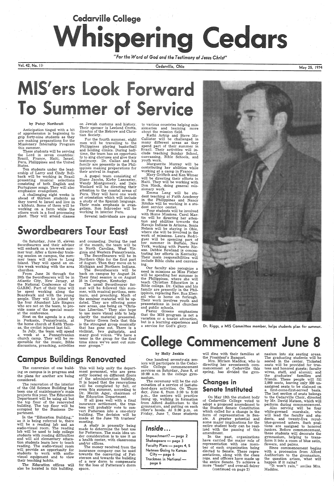# **Cedarville College**  $\bullet$

*"For the Word of God and the Testimony of Jesus Christ"* 

Vol. 42, No. 111

#### by Patsy Northcutt

Anticipation tinged with a bit of apprehension is beginning to grip forty-nine students as they are making preparations for the Missionary Internship Program this summer.

These students will be serving the Lord in seven countries: Brazil, France, Haiti, Israel, Peru, Philippines and the United States.

Ten students under the leadership of Larry and Cindy Bollback will be working in Brazil presenting musical selections consisting of both English and Portuguese songs. They will also emphasize evangelism.

A challenging eight weeks is ahead of thirteen students as they travel to Israel and live in a kibbutz. Some of them will be working on a farm while the others work in a food processing plant. They will attend classes

On Saturday, June 15, eleven Swordbearers and their advisor will embark on a ten-week summer tour. After a three-day training session on campus, the summer team will drive to Long Island. They will spend an entire week working with the area churches.

From June 24 through the 28th the Swordbearers will be in Atlantic City, New Jersey, at the National Conference of the GARBC. Part of their time will be spent working along the Boardwalk and with the young people. They will be joined by the four Abundant Life Singers who are not on the team, to provide some of the special music at the conference.

Next on the agenda is a stop in Perkasie, Pennsylvania, at the home church of Keith Thomas, the cyclist injured last fall.

In July, the team will spend · <sup>a</sup>week at a Pennsylvanian church camp. They will be responsible for the music, Bible discussions, preaching, activities

on Jewish customs and history. Their sponsor is Leeland Crotts, director of the Hebrew and Christian Society.

For the fourth summer, eight men will be travelling to the Philippines playing basketball and holding clinics. During half-<br>time, the team has an opportunity to sing choruses and give their testimony. Dr. Callan and his family are presently in the Philippines making preparations for their arrival in August.

A gospel team consisting of Diane Jacobs, Kirby Lancaster, Wendy Montgomery, and Dale Woolard will be directing their attention to the coastal areas of Peru. They will have one week of orientation which will include a study of the Spanish language. Their main emphasis is evangelism. Ron Schroeder will be working in interior Peru.

The money received from the insurance company can be used towards the converting of Patsterson and towards the building of a new dorm to compensate for the loss of Patterson's dorm space.

Several individuals are going

## **Swordbearers Tour East**

and counseling. During the rest of the month, the team will be in North Carolina, West Virginia and Western Pennsylvania.

Kathi Artrip and Steve Mc-Callister will be challenged in many different areas as they spend part of their summer in Brazil. Their activities will include teaching Sunday School, canvassing, Bible Schools, and youth work.

The Swordbearers will be in Northern Ohio for the first part of August. Then they move on to Michigan and Northern Indiana. The Swordbearers will be back on campus by August 24. Their final session is on August

25 in Covington, Kentucky. The usual Swordbearer format will be followed this summer, with musical portions, seminars, and preaching. Much of the seminar material will be updated. They are offering some new areas, one being on "Christian Liberties." They also hope to use more visual aids to help

clarify the material presented. Pastor Green feels that this is the strongest group musically that has gone out. There is <sup>a</sup> violinist, two guitarists, and many good voices. "We have <sup>a</sup> tenor in the group for the first time since we've sent out summer groups."

Pastor Greene emphasizes that the MIS program is not <sup>a</sup> vacation or a tourist attraction, but is a learning experience and a service for God's glory.

## Campus Buildings Renovated

The conversion of one build-· ing on campus is in progress and the plans for another are being considered.

The renovation of the interior of the Old Science Building has been one of maintenance's main projects this year. The Education Department will be using all but the top floor of the renovated building. The top floor will be occupied by the Business Department.

In the "Education Building," as it is being referred to, there will be a reading lab and an audio-visual room. The reading lab will be used to help college students with reading difficulties and will aid elementary education students learn how to teach reading. The audio-visual room will provide an opportunity for students to work with audiovisual equipment and to view their teaching habits.

The Education offices will also be located in this building.

This will help unify the department personnel, who are presently located on different floors of the administration building. It is hoped that the renovations will be completed by fall, or even this summer, according to

> Also serving will be four white-gowned marshals, who will lead the faculty and students, and twenty-five royalblue-gowned ushers. Such positions are assigned to honored juniors. Before commencement, these students will decorate the gymnasium, helping to transform it into a room of blue satin, flowers, and palms.

Dr. Merlin Ager, chairman of the Education Department. If all goes well with a final insurance settlement, the trustees will probably vote to convert Patterson into a one-story

building. The decision will be made at the June 7th trustees' meeting.

A study is presently being made to determine the best use for Patterson. The main idea under consideration is to use it as a health center, with classrooms and/or offices.

Cedarville, Ohio

# **IC**  $\bullet$   $\bullet$

to various countries helping missionaries and learning more about the mission field.

Marguerite Murray will be contributing her abilities while working at <sup>a</sup>camp in France.

Mary Griffeth and Ken Wimer will be directing their efforts in Haiti. They will be working with Don Block, doing general mis sionary work.

Emma Lang will be student teaching at Faith Academy in the Philippines and Nancy Ritchie will be working in a student service center.

 Four students will be involved with Home Missions. Carol Martin will be directing her attention and abilities towards the Navajo Indians in Arizona. Sonia Nelson will be staying in Ohio, where she will be involved in the work of missions. Laura Rodriguez will be spending part of her summer in Buffalo, New York, working with Puerto Ricans. Debbie Rowland is concentrating her efforts in Kentucky. Their main responsibilities will include Bible clubs and canvassing.

Our faculty also recognize <sup>a</sup> need in missions as Miss Fisher will be spending her summer in the Philippines, where she will teach Christian Education in a Bible college. Dr. Callan and his family are presently in the Philippines, replacing Rev. Rus Ebersol who is home on furlough. Their work involves youth and presentations in local churches and public schools.

One hundred seventy-six seniors wiU participate in the Cedarville College commencement services on Saturday, June 8, at 10: 00 a.m. in the college gym- . nasium.

The ceremony will be the culmination of a service of last-student-days activities. On Thursday, June· 6, from 3:30 to 5:00 p.m., the seniors will practice lining up, walking in formation from Alford Auditorium to the gymnasium, and putting on each other's hoods. At 5:30 p.m. on Friday, June 7, these students



Inside ... Impeachment? - page 2 Shakespeare - page 3 Faculty Plans - pages 4, 5 Netmen Going to Kansas  $City - page 6$ Trackmen in National page 6

May 25, 1974

the President's Banquet.

Mrs. Miriam Maddox, who ·is directing her seventeenth commencement at Cedarville this spring, has divided the gym-

### Changes in Senate Instituted

On May 13th the student body of Cedarville College voted to adopt a proposed amendment to the Student Senate Constitution which called for a change in the form of representation in Sen ate. A greater potential and some major implications for the entire student body can be realized with the passing of this amendment.

will dine with their families at nasium into six seating areas.

In the past, organizations have carried the major role of representation with one member of each organization being elected to Senate. These representatives, along with the class reps. and officers have made up the entire Senate. To achieve a more "basic" and over-all fairer (continued on page 2)

The graduating students will be seated in the center. Ticketed seats will be provided for trustees and honored guests; faculty wives, staff, and alumni; and the graduates' families and friends. These people will fill 2,089 seats, leaving only 200 unassigned seats to be claimed on . a first-come-first-served basis. The last section of seats belongs to the Cedarville Choir, directed by Mr. David Matson, which will perform during commencement.

Since commencement begins with a procession from Alford Auditorium to the gymnasium, the question arises, what will happen if it rains?

"It won't rain," smiles Mrs. Maddox.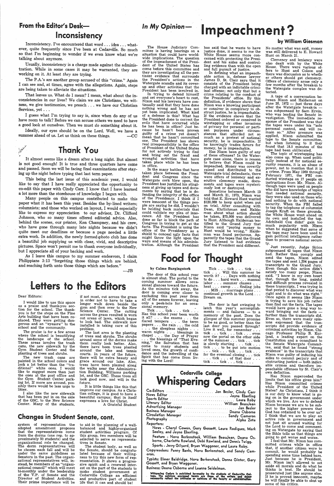## From the Editor's Desk-Inconsistency

Inconsistency. I've encountered that word ... idea ... whatever, quite frequently since I've been at Cedarville. So much so that I'm beginning to wonder if we even know what we're talking about anymore.

Usually, inconsistency is a charge made against the administration. While in some cases it may be warranted, they are working on it. At least *they* are trying.

Ideally, our eyes should be on the Lord. Well, we have a summer ahead of us. Let us think on these things.  $\qquad -CC$ 

The P.A.'s are another group accused-of this "crime.'' Again <sup>I</sup>can see and, at times, agree with the allegations. Again, steps are being taken to alleviate the situations.

That leaves us. What do I mean? I mean, what about the inconsistencies in our lives? We claim we are Christians, we witness, we give testimonies, we preach ... we have our Christian Services, yet . . .

<sup>I</sup>guess what I'm trying to say is, since when do any of us have room to talk? Before we can accuse others we need to have a good look at ourselves. Then we must *do* something about it.

## Thank You

It almost seems like a dream after a long night. But almost is not good enough! It is true and three quarters have come and passed. Soon we will be facing final examinations after staying up the night before typing that last term paper.

<sup>I</sup>would like to use this space as a praise and thank-you section for the school. The thankyou is for the steps on the Fine Arts building that have been re<sup>p</sup>laced. They were getting dangerous and an "eyesore" to the school and the community.

This being the last issue of this academic year, I would like to say that I have really appreciated the opportunity to co-edit this paper with Cindy Carr. I know that I have learned <sup>a</sup>lot more than the storehouse of knowledge I began with.

The new trash cans are painted in the school colors and look a lot better than the "traditional" white ones. I would<br>like to suggest more than just the ones at the post office and the Gym Student Center parking lot. If more are around, possibly there would be less urge to litter.

if not most, cut across the grass in order not to have to take <sup>a</sup> longer walk down beside the gym and then over to the New Science Center. The cutting across the grass resulted in worn out areas of lawn, which began to look bad. The sidewalk now installed is taking care of this problem.<br>The last area is the planting

Many people on this campus contributed to make this paper what it has been this year. Besides the by-lined writers; like to express my appreciation to our advisor, Dr. Clifford Johnson, who so many times offered editorial advice. Also, behind the scenes, our printer, Ken Champney, and his crew, who have gone through many late nights because we didn't quite meet our deadlines or because a page needed a little extra work. In addition, the newly formed photo club has done a beautiful job supplying us with clear, vivid, and descriptive pictures. Space won't permit me to thank everyone individually, but I appreciate all of your backing and work.

> of trees and shrubs. The shrubs around some of the dorms make them really look better. Also, there have been trees planted around the lake and tennis courts. In years of the future, there will be extra beauty and grace around our lake. Also, trees have been planted along the walks near the Administration Building, Williams parking lot, and the GSC. These trees all look good now, and will in the future.

As I leave this campus to my summer endeavors., I claim Philippians 3:13 "forgetting those things which are behind, and reaching forth unto those things which are before.''

 $\equiv$ .TR

## Letters to the Editors

#### Dear Editors:

**BEE** 

system of representation the<br>adopted amendment proposes that the representatives come from the dorms (one rep. to ap- proximately 50 students) and the organizational role be changed. The dorm representatives will be chosen each fall and will be under the same guidelines as Senators in the past. The organi zational representatives will, instead, be members of an "organizational council" which will meet bi-monthly under the leadership of the V.P. of Senate and the Director of Student Activities. Their prime importance will be

The praise is for a few areas where the school is beautifying<br>the landscape of the school. These areas involve the trash cans, the new sidewalk by the Gym Student Center and the planting of trees and shrubs.

I also like the new sidewalk that has been put in on the side of the GSC, to the New Science Center. Many of the students,

The door of this school year is almost shut. The portal to the coming summer allows occasional glances toward the future. As the minutes tick away, the door is coming ever closer to excluding this past year from all of the senses forever, leaving only a peek-hole for an occasional memory.

has said that he wants to have justice done, it seems to me the White House seems more concerned with protecting the President and his aides and controlling evidence than with the open<br>and full pursuit of justice.

It is little things like this that improve our campus. As a Christian college, it is good to have <sup>a</sup> beautiful campus; that in itself expresses a love for Christ.

A Grateful Student

### Changes in Student Senate, cont.

money, he is impeachable.<br>Has Nixon been guilty of any of these offenses? In the Watergate case alone, there is reason to believe that Nixon could be impeached. Money was covertly raised and distributed to the Watergate trial defendants, there were offers of leniency and executive clemency made, documents and tapes were mysteri ously lost or destroyed.

to aid in the planning of a well- balanced and highly-organized student activities program. Of this group, two members will be selected to serve as representa- tives in Senate.

The student body, as well as<br>the Senate, should be congratulated because of their willing-<br>ness to try this new form of representation. It shows a progres-<br>sive spirit and a renewed interest on the part of the students to make student government at Cedarville College an efficient and productive part of student<br>life that it can and should be!

Tick . . . tick . . . tick . . tick . . . Will this summer be worth it?  $\dots$  Days with nothing to do . . . hard work ... manual labor . . . summer classes . heat ... camp ... finding jobs .. MIS ... marriage plans. continual growth in the Lord .. . Dream on.

The door is fast swinging to latch this year's accomplish $ments - and failures - to a$ memory of the past. Does the <sup>g</sup>limpse of this summer promise to be as good, or better than the tick . . . tick . . . tick . . . even of the summer . . . tick . . . tick tick . . . to be put into motion . . tick . . . tick . . . tick . . .

#### by William Giesman

The House Judiciary Committee is having hearings on <sup>a</sup> situation that could have worldwide implications. The question of the impeachment of the Presi- . dent of the United States has come before this committee and they are investigating all the pertinent evidence that surrounds the President's actions in the Watergate scandle and its coverup and other activities that the

President has been involved in. In trying to defend himself and set everyone's heart to rest, Nixon and his lawyers have con tinually said that they have done nothing wrong arid he has not yet been implicated. What kind of a defense is this? What has the President done to correct the evils that have occurred while he has been in office? Just because he hasn't been proven guilty of a crime yet doesn't mean that he hasn't committed one. The President has shown real irresponsibility in the office of President of the United States for not actively trying to find and bring out the fraud and wrongful activities that have taken place while he has been in office.

In the many battles that have taken place between the President and Congress since the Watergate cork blew open, the President has justified his stinginess at giving up tapes and documents by saying that he is defending the integrity of the office of the Presidency. I think if <sup>I</sup> were innocent of the things people are saying he did, I wouldn't be holding back materials that could validate my plea of innocence. All the President has<br>done so far is block the path of Congress in trying to get at the<br>facts. The President is using the office of the Presidency as a shield to conceal ugly facts that might throw the light upon the ways and means of his administration. Although the President

# *In My Opinion-* Impeachment?

#### by Calme Burgingstork

In defining what an impeach able action is, defense lawyer<br>James D. St. Clair says that it<br>consists of the President being charged with an indictable crimiinal offense; not only that but a crime relating to the conduct of<br>the Presidents' office. By this definition, if evidence shows that Nixon was a knowing participant or conniver in conspiracy to obstruct justice, he is impeachable. If the evidence shows that the President ordered or connived in wiretapping or other invasions of privacy for personal or partisan purposes under circumstances that afforded not so much as a pretext of national security, he is impeachable. If he knowingly trades favors for

Tick . . . tick . . . tick . . . Has this school year been worth it all? ... the exams ... the flared tempers . . . the term papers ... the rain . . . the cold ... the sleepless nights ...<br>warm nights ... blessings in warm nights . . . blessings in chapel . . . the Day of Prayer . . . the blessings of "That Evening," the Salvation that has come to many students and loved ones; the growth of confidence and the indwelling of the Spirit that has come from living with the Lord! last door you passed through? Live it well, for remember . . . now the portal on the other side is slowly starting ... tick ... for the eventual closing . . . tick . . . tick . . . of that door . tick . . . tick . . .. tick . . . .

Sometime between March 13 and March 21, 1973, Nixon was told that E. Howard Hunt wanted \$120,000 to keep quiet when put on trial. After consulting with Dean, Ehrlichman and Haldeman about what action should be taken, \$75,000 was delivered to Hunt. Although Haldeman testified to the Grand Jury that<br>Nixon said "paying money to Hunt would be wrong," Halde-<br>man was found perjurous. Apparently the tapes that the Grand Jury listened to had evidence that the President said different.

# **Food for Thought**

| <b>Cedarville College</b><br><b>Whispering Cedars</b>                                                                                                                                                                                 |
|---------------------------------------------------------------------------------------------------------------------------------------------------------------------------------------------------------------------------------------|
| Co-Editors  Jan Besler, Cindy Carr<br>News Editor  Jayne Eberling<br>Advertising Manager<br>Business Manager<br>Circulation Manager  Sandy Cameron<br>Photography with a construction of the construction of Alpha Zeta<br>Reporters: |

News - Cheryl Cowen, Gary Gossett, Laura Rodiguez, Mark<br>Seeley, and Jayne Eberling.

Feature - Nova Berkenstock, William BeauJean, Deana Osborne, Charlotte Rowland, Debi Rowland, and Dennis Twigg. Sports - Jerry Gilyard, Bryan Waggoner, and laura Roby. Copyreaders: Penny Banks, Nova Berkenstock, and Sandy Cam-

eron.

Typists: Elmer Baldridge, Nova Berkenstock, Donna Ginter, Gary Gossett, and Bryan Waggoner. ·

Business: Deana Osborne and Leanne Seidelman.

Whispering Cedars is published by-weekly by the students of Cedarville Col-<br>lege. The opinions expressed herein are those of the writers and donot<br>necessarily reflect the attitudes or opinions of the faculty or administrat

No matter what was said, money was still delivered to E. Howard Hunt on March 21.

Clemency and leniency were also dealt with by the White House. There were various offers to Hunt and Colson and there was discussion as to whether others should get clemency. Offers of clemency arose only a<br>few months after the break-in to the Watergate complex was de· tected.

A tape of a conversation be· tween Nixon and Haldeman on<br>June 20, 1972 - just three days after the Watergate break-in was subpoenaed by Sam Ervin, who was leading the Senate investigation. The immediate response of the President was that the tapes were under his "sole personal control, and will remain so." After pressure was applied, Nixon submitted the tape to the Senate committee,<br>but when listening to it they found that 18.5 minutes of the tape had been obliterated.

The topic of wiretapping has also come up. When used politi cally instead of for national security reasons, it is an abuse of power, not to mention that it is<br>a crime. From May 1969 through February 1971, the FBI conducted wiretaps on 17 people on instructions from Mr. Nixon. Although taps were used on people who did have knowledge of topics that needed national security, they were also used on those who had nothing to do with national security. When the FBI failed to tap the telephone of columnist Joseph Kraft on these grounds, the White House went ahead on its own and installed the tap.<br>Adchibald Cox didnt' gain too much popularity with Nixon<br>when he suggested that some of the taps may have been used to gain political intelligence rather than to preserve national security.

Just recently, Judge Sirica subpoenaed 42 tapes that Nixon had. Rather than comply and send the tapes, Nixon edited the tapes and sent 1,254 pages of<br>transcripts to the Grand Jury. Even though this action didn't satisfy too many peope, Nixon<br>said, "I know in my own heart that, through the long, painful and difficult process revealed in these transcripts, I was trying in that period to discover what was right and to do what was right.' Once again it seems like Nixon is trying to save his job rather than find out the facts. The tapes<br>would have gone a long way toward bringing out the facts farther than the transcripts did.<br>Even so, there were many opinions expressed that the transcripts did provide evidence of criminal activities by Nixon. Chicago Professor Philip B. Kurland, a leading expert on the Constitution and a consultant to the Senate Watergate Commit-<br>tee, said that he found "strong evidence" in the transcripts that<br>Nixon was guilty of inducing his aides to commit perjury and of  $obstructing$  justice  $-$  both indictable crimes and therefore im- • peachable offenses by St. Clair's own definition. Has Nixon superceded the limits that his office gives him? Has Nixon committed crimes while President of the United States? As Christians, I think it ing on in the government under which we live. Are we to defend Nixon because we are to be subject to the higher powers that God has ordained to be over us? <sup>I</sup>think that we are to play an active role in government and<br>not just sit around waiting for the Lord to come and commenting on Watergate by saying that the Bible tells us that things are going to get worse and worse. I feel that Mr. Nixon has committed crimes while in office that, if another citizen were to commit, he would probably be spending some time behind bars. Just because he is President, Mr. Nixon isn't allowed to set aside all morals and do what he thinks is best. He should be prosecuted just like anyone else. If he is proved innocent, maybe he will finally be able to shut up some of his critics.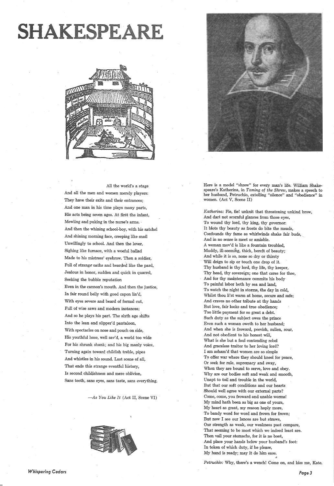# SHAKESPEARE



All the world's a stage And all the men and women merely players: They have their exits and their entrances; And one man in his time plays many parts, His acts being seven ages. At first the infant, Mewling and puking in the nurse's arms. · And then the whining school-boy, with his satchel And shining morning face, creeping like snail Unwillingly to school. And then the lover, Sighing like furnace, with a woeful ballad Made to his mistress' eyebrow. Then a soldier, Full of strange oaths and bearded like the pard, Jealous in honor, sudden and quick in quarrel, Seeking the bubble reputation Even in the cannon's mouth. And then the justice, In fair round belly with good capon lin'd, With eyes severe and beard of formal cut, Full of wise saws and modern instances; And so he plays his part. The sixth age shifts Into the lean and slipper'd pantaloon, With spectacles on nose and pouch on side, His youthful hose, well sav'd, a world too wide For his shrunk shank; and his big manly voice, Turning again toward childish treble, pipes



And whistles in his sound. Last scene of all, That ends this strange eventful history, Is second childjshness and mere oblivion, Sans teeth, sans eyes, sans taste, sans everything.

-As *You Like It* (Act II, Scene VI)



*Whispering Cedars* 

Here is a model "shrew" for every man's life. William Shakespeare's Katherina, in *Taming of the Shrew,* makes a speech to her husband, Petruchio, extolling "silence" and "obedience" in women. (Act V, Scene II)

*Katherina:* Fie, fie! unknit that threatening unkind brow, And dart not scornful glances from those eyes, To wound thy lord, thy king, thy governor: It blots thy beauty as frosts do bite the meads, Confounds thy fame as whirlwinds shake fair buds, And in no sense is meet or amiable. A woman mov'd is like a fountain troubled, Muddy, ill-seeming, thick, bereft of beauty; And while it is so, none so dry or thirsty Will deign to sip or touch one drop of it. Thy husband is thy lord, thy life, thy keeper, Thy head, thy sovereign; one that cares for thee, And for thy maintenance commits his body To painful labor both by sea and land, To watch the night in storms, the day in cold, Whilst thou li'st warm at home, secure and safe; And craves no other tribute at thy hands But love, fair looks and true obedience; Too little payment for so great a debt. Such duty as the subject owes the prince Even such a woman oweth to her husband; And when she is froward, peevish, sullen, sour, And not obedient to his honest will, What is she but a foul contending rebel And graceless traitor to her loving lord? <sup>I</sup>am asham'd that women are so simple To offer war where they should kneel for peace, Or seek for rule, supremacy and sway, When they are bound to serve, love and obey. Why are our bodies soft and weak and smooth, Unapt to toil and trouble in the world, But that our soft conditions and our hearts Should well agree with our external parts? Come, come, you froward and unable worms! My mind hath been as big as one of yours, My heart as great, my reason haply more, To bandy word for word and frown for frown; But now I see our lances are but straws, Our strength as weak, our weakness past compare, That seeming to be most which we indeed least are. Then vail your stomachs, for it is no boot, And place your hands below your husband's foot: In token of which duty, if he please, My hand is ready; may it do him ease.

*Petruchio:* Why, there's a wench! Come on, and kiss me, Kate.

*Page3*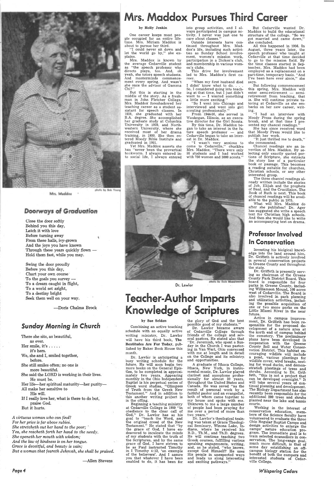

#### Mrs. Maddox

### **Doorways of Graduation**

Close the door softly Behind you this day, Latch it with love Before turning away From these halls, ivy-grown And the joys you have known Through these years quickly flown -Hold them fast, while you may.

Swing the door proudly Before you this day, Chart your own course· To the goals you survey — To a dream caught in flight, To a world set aright, To a destiny bright Seek them well on your way.

Her life-her spiritual maturity-her purity-All make her sensitive to

-Doris Chalma Brock

## *Sunday* Morning in *Church*

There she sits, as beautiful, as ever. Her smile, it's ..... it's hers. We, she and I, smiled together, before.

## Mrs. Maddox Pursues Third Career

She still smiles often; no one is

more beautiful.

She said the LORD is working in their lives. He must be.

Mrs. Maddox is known by the average Cedarville student as "the speech professor who directs plays, too. And, oh yeah, she tutors speech students. And masterminds commencement every spring. And wasn't she once the advisor of Gamma Ch<sub>i</sub>?

His will. If I really love her, what is there to do but, praise God. But it hurts.

*A virtuous woman who can find? For her price is far above rubies. She stretcheth out her hand to the poor; Yea, she reacheth forth her hand to the needy. She openeth her mouth with wisdom; And the law of kindness is on her tongue. Grace is deceitful, and beauty is vain; But a woman that f eareth Jehovah, she shall be praised.*  into group activities, and I always participated in campus activity. I never was just one to care about classes.

-Allen Stevens

*Page4* 

#### by Holly Jenkin

"When my first husband died I didnt' know what to do. . . . So, I considered going into teaching at that time, but I just didn't want to  $-$  I wanted something a little more exciting.

One career keeps most people occupied for an entire life-time. Mrs. Miriam Maddox is about to pursue her third.

"I could never sit down and let the world go by," she explains.

But this is starting in the middle of the story. As a freshman in John Fletcher College, Mrs. Maddox- foreshadowed her teaching career as a student assistant for speech classes. In 1928, she graduated with her B.A. degree. She accomplished her graduate study at Columbia University in 1929, and Northwestern University, where she received most of her drama training, in 1930. She then entered Moody Bible Institute and graduated in 1931.

Yet Mrs. Maddox asserts she has "never been the proverbial bookworm. I always entered into social life, I always entered

> possible good of my students." Dr. Lawlor became aware of Cedarville College through friends of the college and several pastors. He stated also that "Dr. Jeremiah, who spent a Sunday in the Church I was pastoring in Van Wert, Ohio conversed with me at length and in detail on the College and its ministry.

> A graduate of Ithaca College, Ithaca, New York, in instrumental music, Dr. Lawlor played clarinet and saxophone professionally for almost 20 years, throughout the United States and Canada. He was saved "as the result of personal work by <sup>a</sup> faithful pastor and an evangelist, both of whom came together to my house and spoke with me. Unknown to me a large number of people had been praying for me over a period of more than two years.

Outside interests have continued throughout Mrs. Maddox's life, including such activities as Sunday School involvement, women's mission work, participation in a Dicken's club, and membership in various women's clubs.

This drive for involvement led to Mrs. Maddox's first career.

Dr. Lawlor's theological training was taken at Grace Theological Seminary, Winona Lake, Indiana, where he received his B.D., Th.M., and Th.D. degrees. He will continue teaching two Greek courses, fulfilling various speaking engagements, writing, and, as he stated, "who knows, except God Himself? He uses His people in unexpected ways and leads us along interesting and exciting pathways."

"So I went into Chicago and interviewed and went into girl scouting professionally."

From 1944-56, she served in Waukegan, Illinois, as an executive director for the Girl Scouts.

By this time, Dr. Maddox began to take an interest in the future speech professor - and Cedarville began to take an interest in Dr. Maddox.

ing. "I had an interview with Moody Press during the spring break, and at that time I presented my chancel readings.<sup>7</sup>

"I wasn't very anxious to come to Cedarville," chuckles Mrs. Maddox. "There were only 98 students and I had worked with 750 women and 3000 scouts."



Dr. Lawlor

# Teacher-Author Imparts Knowledge of Scriptures

#### by Sue Seldon

Combining an active teaching schedule with an equally active writing ministry, Dr. Lawlor will have his third book, The Beatitudes Are For Today, published by Baker Book House this month.

Dr. Lawlor is anticipating <sup>a</sup> busy writing schedule for the future. He will soon begin two more books on the General Epistles, to be completed in approximately two years. Appearing monthly in the Ohio Independent Baptist is his perpetual series of Greek word studies, "Glimpses of Truth from the Greek New Testament." And in addition to this another writing project is in the offing. Beginning a teaching ministry at Cedarville College in 1959 "in obedience to the clear call of God," Dr. Lawlor has as his goal to "teach the Word, and the original creed of the New Testament." He stated that "by the grace of God, I have endeavored to inculcate the minds of my students with the truth of the Scriptures, and by the same grace of God, I have striven to be as Paul instructed Timothy in I Timothy 4:12, 'an example of the believers'. And I assure you that whatever I have been enabled to do, it has been for

the glory of God and the best

and opportunities.

But Cedarville wanted Dr. Maddox to build the educational structure of the college. "So we got married .and came down," she concluded.

All this happened in 1956. In August, three years later, the speech professor who taught at Cedarville at that time decided to go to the mission field. By the time classes started in September, Mrs. Maddox had been 'employed as <sup>a</sup>replacement on <sup>a</sup> part-time, temporary basis. "And I've been here ever since," she says.

But following commencement this spring, Mrs. Maddox will  $enter$  semi-retirement  $-$  semiretirement from teaching, that is. She will continue private tutoring at Cedarville as she embarks on her new career, writ-

She has since received word that Moody Press would like to publish her work.

"It just thrilled me to death," she commented.

Chancel readings are an invention of Mrs. Maddox. By selecting only exactly quoted portions of Scripture, she extracts the story line of a particular book or passage. This becomes a reading suitable for churches, Christian schools, or any other interested group.

The three chancel readings already written include the stories of Job, Elijah and the prophets of Baal, and the Crucifixion. The Book of Ruth is next. This book of chancel readings will be available to the public in 1975. What will Mrs. Maddox do

after she publishes? Dr. Ager has suggested she write a speech text for Christian high schools. And then she would like to write an accompanying text on drama.

### Professor Involved In Conservation

Investing his biolgica] knowledge into the land around him, Dr. Griffeth is actively involved in several conservation projects in Greene County and throughout the state.

Dr. Griffeth is presently serving as chairman of the Greene County Park District Board. This board is responsible for four parks in Greene County, including Williamson Mound, 100 acres west of Cedarville. The Board is also involved in park planning and utilization activities, including the possible acquisition of one or two more parks on the Little Miami River in the near future.

Active in campus improvement, Dr. Griffeth has been responsible for the proposed development of a nature area at the north end of campus behind the cemetery. The preliminary plans have been developed in cooperation with the Greene County Soil and Water Conservation District. This habitat encouraging wildlife will include <sup>a</sup>pond, various plantings for wildlife cover, wind breaks, nesting for wood ducks, and demonstration plantings of trees and shrubs. According to Dr. Griffeth, "this is not a project that can be developed overnight." It will take several years of continual planning and development. The Biology Department has also recently been responsible for the additional 200 trees and shrubs planted near the lake and tennis courts. Working in the interest of conservation education, members of the Science faculty have volunteered to evaluate the three Ohio Regular Baptist Camps and design activities to enlarge the camps' nature education program. The immediate goal is to tram selected counsellors in conservation. The long-range goal· much more difficult, is that of some day establishing an offcampus biology station for the benefit of both the campers and interested students of Cedarville College.

*Whispering Cedars*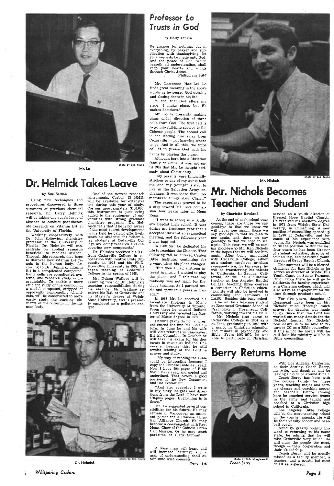

Mr. Lo

# Dr. Helmick Takes Leave

#### by Sue Seldon

Using new techniques and procedures discovered in three summers of previous chemical research, Dr. Larry Helmick will be taking one year's leave of absence to conduct post-doctorate research on Vitamin B-1 at the University of Florida.

Working cooperatively with Dr. John Zoltewicz, chemistry professor at the University of Florida, Dr. Helmick will concentrate on applied research beneficial to medical science. Through this research, they hope to discover how vitamin B-1 reacts in the human body. According to Dr. Helmick, vitamin B-1 is a complicated compound, living cells are complicated systems, and research study is unpredictable. To enable a more efficient study of the compound, a model compound, stripped of apparently non-reacting chemicals, will be constructed to more easily study the reacting elements of the vitamin in the human body.

One of the newest research instruments, Carbon 13 NMR, will be available for extensive use during this year of study. Costing approximately \$100,000, this instrument is just being · added to the equipment of universities with strong graduate chemistry programs. Dr. Helmick feels that if he is not aware of the most recent developments in his field he cannot effectively teach his students, for "chemistry students at Cedarville College are doing research and discovering new compounds."

Dr. Helmick received his B.S. from Cedarville College in cooperation with Central State University in 1963 and his Ph.D. from Ohio University in 1968. He began teaching at Cedarville College in the spring of 1968.

Mr. Nelson Wallace will be assuming most of Dr. Helmick's teaching responsibilities during his absence. Mr. Wallace received his B.S. at Cedarville and his Master's degree at Wright State University, and is presently employed as a pollution analyst.



Dr. Helmick

*Whispering Cedars* 

Page 5

## *Prolessor Lo Trusts in God*

#### by Holly Jenkin

Be anxious for nothing, but in everything, by prayer and supplication with thanksgiving, let your requests be made unto God. And the peace of God, which passeth all understanding, shall keep your hearts and minds through Christ Jesus.

 '' And also everyday I write in my diary insights and direc-<br>tions from the Lord. I have now 460-plus pages. Everything is in there.

Philippians 4:6-7

Mr. Lawrence Naai-Lei Lo finds great meaning in the above words as he senses God opening and closing doors in his life.

"I feel that God alters my steps. I make plans, but He makes decisions."

# r. Nichols Becomes Teacher and Student

Mr. Lo is presently making plans under direction of three calls from God. The first call is to go into full-time service to the Chinese people. The second call is one leading him away from Cedarville — not knowing where to go. And in all this, the third call is to praise God with his hands by playing the piano.

Although born into a Christian family of China, it was not until 1949 that Mr. Lo thought seriously about Christianity.

"My parents were financially stricken so one of my aunts took me and my younger sister to live in the Salvation Army orphanage. It was there that I remembered things about Christ."

The experience proved to be a step toward Mr. Lo's conversion four years later in Hong Kong.

"I went to school in a Southern Baptist high school. It was· during my freshman year that I accepted Christ at an evangelical meeting, and the following year I was baptized."

In 1962 Mr. Lo dedicated his life to reaching the Chinese. That following fall he entered Canton Bible Institute, continuing for a year, when his plans changed.

"But then I had a strong interest in music. I wanted to play the piano, and I felt that my make-up was not right for theology training. So I pursued music and spent four years in Canada."

In 1968 Mr. Lo received his Licentiate Diploma in Music from the University of Toronto. From there he entered Indiana University and received his Master of Music degree in 1971.

Definite plans do not at present extend far into Mr. Lo's future. In June he and his wife will visit relatives in Vancouver, British Columbia. In October he will take his exam for his doctorate in music at Indiana University. Besides this, he ·still awaits leading of the Lord in prayer and study.

"My way of reading the Bible could be interesting because I copy the Chinese Bible as I read. Now I have 600 pages of Bible that I have read and copied and underlined. That covers a good portion of the New Testament and Old Testament.



Mr. Lo suggested several possibilities for his future. He may remain in Vancouver as assistant pastor for a Chinese Christian Alliance Church. He may become a co-evangelist with Rev. Moses Chow of the Chinese Christian Mission. Or he may teach part-time at Clark Summit.

A wise man will hear, and will increase learning; and a man of understanding shall attain unto wise counsels.

 $-$ Prov. 1:6

#### Mr. Nichols

#### by Charlotte Rowland

As the end of each school year comes, there are those we say good-bye to that we know we will never see again, those we say good-bye to that we plan to see again, and those we say good-bye to that we hope to see again. This year, we will be saying good-bye to Mr. Ken Nichols in the hopes that we will see him again. After being associated with Cedarville College, either as a student, employee, or class representative, for ten years, he will be transferring his talents to California. In Saugus, California, he will be a full-time teacher at Los Angeles Baptist College, teaching three courses a semester in Christian education. He will also be involved in counselling and semmars at LABC. Besides this busy schedule he will be a full-time student at Rosemead Graduate School of Psychology in Rosemead, California, working toward his Ph.D.

Mr. Nichols first came to Cedarville College in 1964 as a student, graduating in 1968 with a major in Christian education and minors in psychology and Bible. From 1967-1970, he was able to participate in Christian

# Berry Returns Home

service as a youth director of Blessed Hope Baptist Church. He received his master's degree in 1971 from Wright State University, in counselling. A new position of counselling opened up in 1970 at Cedarville, and because of his experience with youth, Mr. Nichols was qualified to fill the position. Within the last four years he has been director of student activities, director of counselling, and part-time youth director of Grace Baptist Church. This summer will be a blessed challenge for Ken Nichols as he serves as director of Scioto Hills Youth Camp in Scioto Furnace, Ohio. From there he will go to California for faculty experience at a Christian college, which will also serve as employment for the time through graduate school. For five years, thoughts of Rosemead have been in Mr. Nichols' mind. Through much prayer, the decision was made to go. Since then the Lord has worked out many details for the Nichols' family. Mr. Nichols' real desire is to be able to re~ turn to CC as a Bible counsellor. If this is not the Lord's will, he still feels his ministry will be in

Bible counselling.



Coach Berry

With Los Angeles, California, as their destiny, Coach Berry, his .wife, and daughter will be leaving Ohio on or around June 1.

Coach Berry has been with the college family for three years, teaching major and service classes and coaching soccer and baseball. Before coming here he coached service teams in the army and taught and coached at a Christian high school in California.

Los Angeles Bible College will be the next teaching school on the coachs' agenda. He will be their varsity soccer and baseball coach.

Although greatly . looking forward *to* returning to his home state, he admits that he will miss Cedarville very much. He will miss the people the most, though - their cooperation and their friendship.

Coach Berry will be greatly missed as a faculty member, a teacher, and a coach, but most of all as a-person.